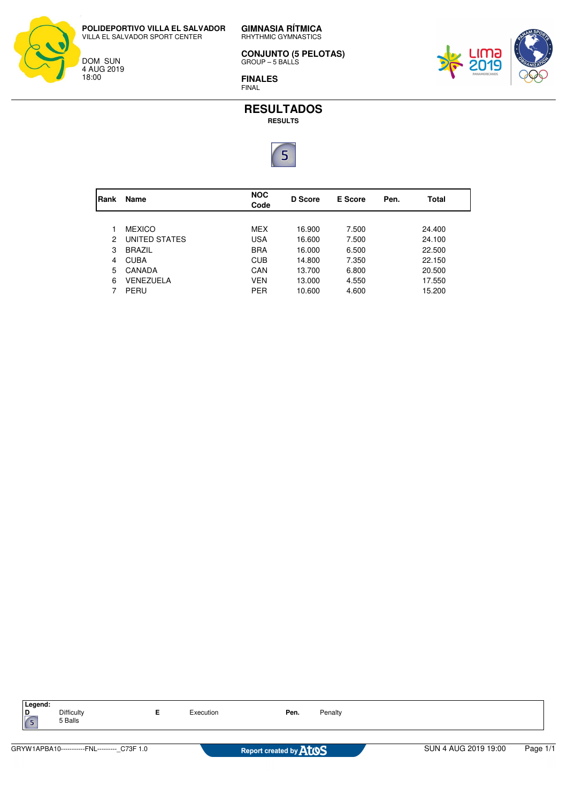**POLIDEPORTIVO VILLA EL SALVADOR** VILLA EL SALVADOR SPORT CENTER



**GIMNASIA RÍTMICA** RHYTHMIC GYMNASTICS

**CONJUNTO (5 PELOTAS)** GROUP – 5 BALLS

**FINALES** FINAL



**RESULTADOS RESULTS**



| Rank | Name          | <b>NOC</b><br>Code | D Score | <b>E</b> Score | Pen. | Total  |
|------|---------------|--------------------|---------|----------------|------|--------|
|      |               |                    |         |                |      |        |
|      | <b>MEXICO</b> | MEX                | 16.900  | 7.500          |      | 24.400 |
| 2    | UNITED STATES | <b>USA</b>         | 16.600  | 7.500          |      | 24.100 |
| 3    | <b>BRAZIL</b> | <b>BRA</b>         | 16.000  | 6.500          |      | 22.500 |
| 4    | <b>CUBA</b>   | <b>CUB</b>         | 14.800  | 7.350          |      | 22.150 |
| 5    | CANADA        | CAN                | 13.700  | 6.800          |      | 20.500 |
| 6    | VENEZUELA     | VEN                | 13.000  | 4.550          |      | 17.550 |
|      | PERU          | <b>PER</b>         | 10.600  | 4.600          |      | 15.200 |